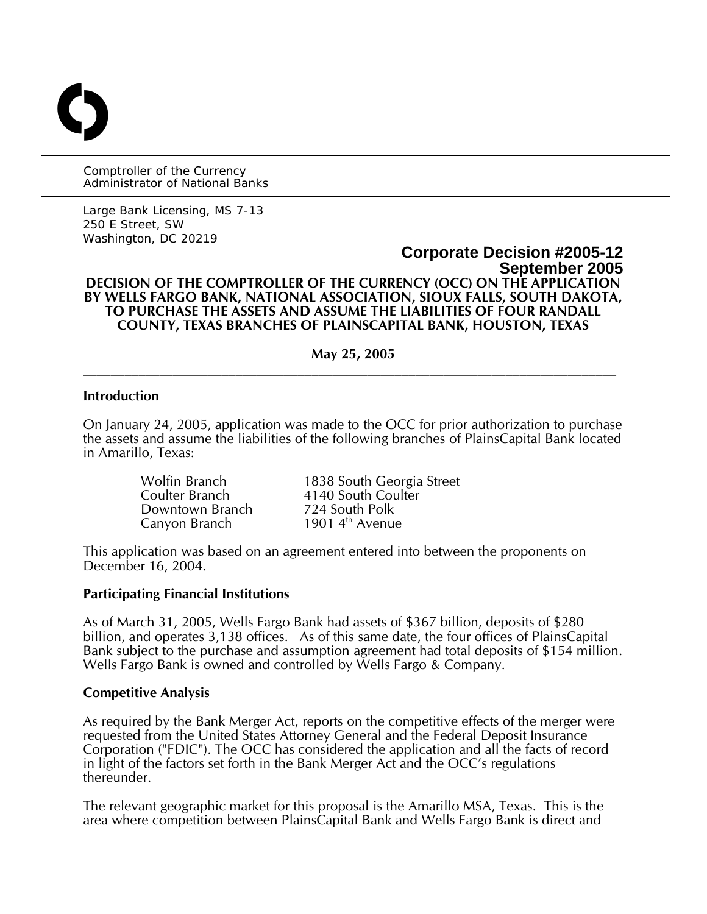Comptroller of the Currency Administrator of National Banks

O

Large Bank Licensing, MS 7-13 250 E Street, SW Washington, DC 20219

## **Corporate Decision #2005-12 September 2005 DECISION OF THE COMPTROLLER OF THE CURRENCY (OCC) ON THE APPLICATION BY WELLS FARGO BANK, NATIONAL ASSOCIATION, SIOUX FALLS, SOUTH DAKOTA, TO PURCHASE THE ASSETS AND ASSUME THE LIABILITIES OF FOUR RANDALL COUNTY, TEXAS BRANCHES OF PLAINSCAPITAL BANK, HOUSTON, TEXAS**

**May 25, 2005**   $\mathcal{L}_\mathcal{L} = \{ \mathcal{L}_\mathcal{L} = \{ \mathcal{L}_\mathcal{L} = \{ \mathcal{L}_\mathcal{L} = \{ \mathcal{L}_\mathcal{L} = \{ \mathcal{L}_\mathcal{L} = \{ \mathcal{L}_\mathcal{L} = \{ \mathcal{L}_\mathcal{L} = \{ \mathcal{L}_\mathcal{L} = \{ \mathcal{L}_\mathcal{L} = \{ \mathcal{L}_\mathcal{L} = \{ \mathcal{L}_\mathcal{L} = \{ \mathcal{L}_\mathcal{L} = \{ \mathcal{L}_\mathcal{L} = \{ \mathcal{L}_\mathcal{$ 

## **Introduction**

On January 24, 2005, application was made to the OCC for prior authorization to purchase the assets and assume the liabilities of the following branches of PlainsCapital Bank located in Amarillo, Texas:

Downtown Branch 724 South Polk<br>Canvon Branch 1901 4<sup>th</sup> Avenue

Wolfin Branch 1838 South Georgia Street<br>
Coulter Branch 194140 South Coulter 4140 South Coulter 1901  $4<sup>th</sup>$  Avenue

This application was based on an agreement entered into between the proponents on December 16, 2004.

#### **Participating Financial Institutions**

As of March 31, 2005, Wells Fargo Bank had assets of \$367 billion, deposits of \$280 billion, and operates 3,138 offices. As of this same date, the four offices of PlainsCapital Bank subject to the purchase and assumption agreement had total deposits of \$154 million. Wells Fargo Bank is owned and controlled by Wells Fargo & Company.

#### **Competitive Analysis**

As required by the Bank Merger Act, reports on the competitive effects of the merger were requested from the United States Attorney General and the Federal Deposit Insurance Corporation ("FDIC"). The OCC has considered the application and all the facts of record in light of the factors set forth in the Bank Merger Act and the OCC's regulations thereunder.

The relevant geographic market for this proposal is the Amarillo MSA, Texas. This is the area where competition between PlainsCapital Bank and Wells Fargo Bank is direct and